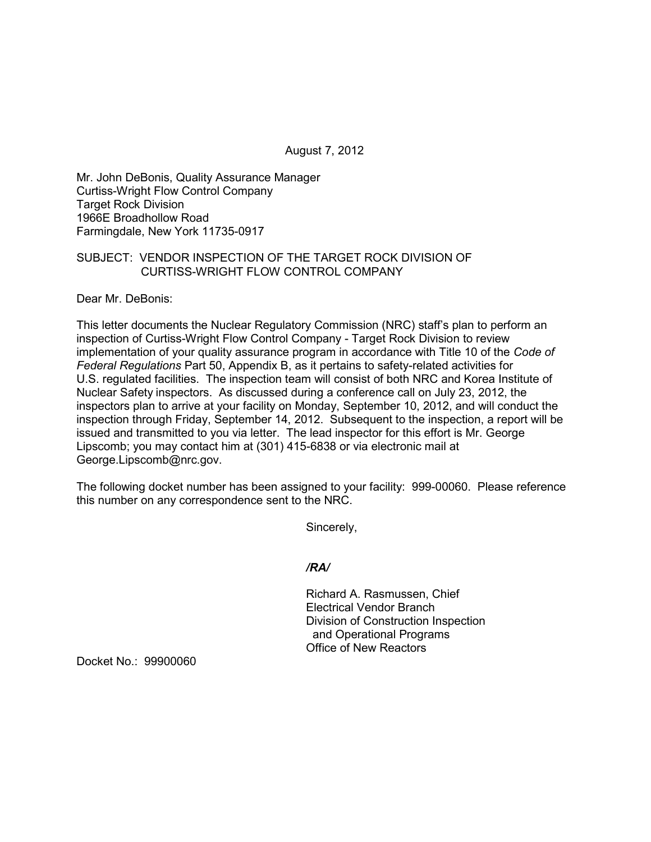August 7, 2012

Mr. John DeBonis, Quality Assurance Manager Curtiss-Wright Flow Control Company Target Rock Division 1966E Broadhollow Road Farmingdale, New York 11735-0917

## SUBJECT: VENDOR INSPECTION OF THE TARGET ROCK DIVISION OF CURTISS-WRIGHT FLOW CONTROL COMPANY

Dear Mr. DeBonis:

This letter documents the Nuclear Regulatory Commission (NRC) staff's plan to perform an inspection of Curtiss-Wright Flow Control Company - Target Rock Division to review implementation of your quality assurance program in accordance with Title 10 of the *Code of Federal Regulations* Part 50, Appendix B, as it pertains to safety-related activities for U.S. regulated facilities. The inspection team will consist of both NRC and Korea Institute of Nuclear Safety inspectors. As discussed during a conference call on July 23, 2012, the inspectors plan to arrive at your facility on Monday, September 10, 2012, and will conduct the inspection through Friday, September 14, 2012. Subsequent to the inspection, a report will be issued and transmitted to you via letter. The lead inspector for this effort is Mr. George Lipscomb; you may contact him at (301) 415-6838 or via electronic mail at George.Lipscomb@nrc.gov.

The following docket number has been assigned to your facility: 999-00060. Please reference this number on any correspondence sent to the NRC.

Sincerely,

*/RA/* 

Richard A. Rasmussen, Chief Electrical Vendor Branch Division of Construction Inspection and Operational Programs Office of New Reactors

Docket No.: 99900060